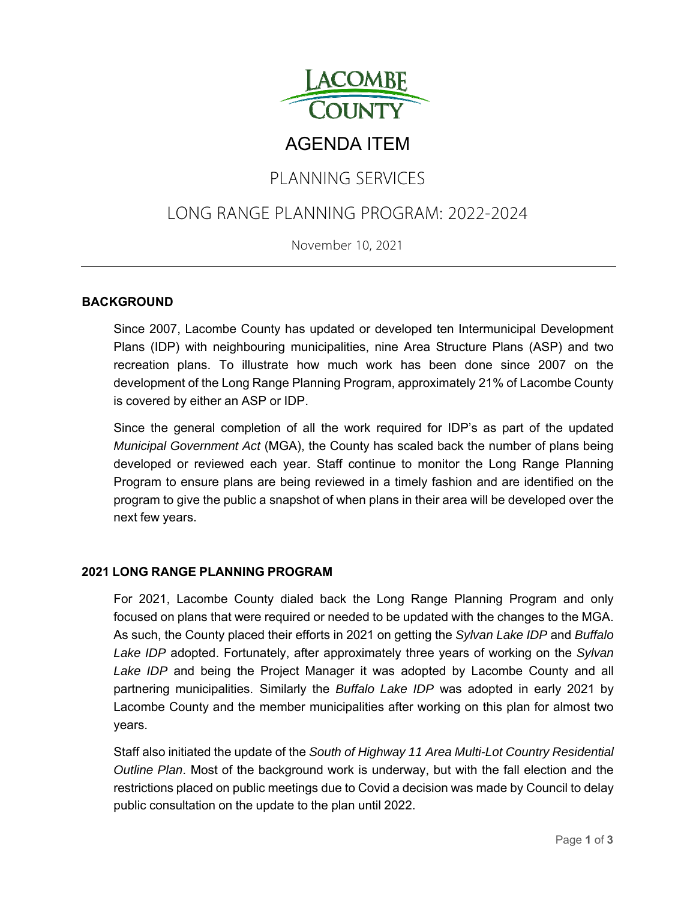

### AGENDA ITEM

# PLANNING SERVICES

## LONG RANGE PLANNING PROGRAM: 2022-2024

November 10, 2021

#### **BACKGROUND**

Since 2007, Lacombe County has updated or developed ten Intermunicipal Development Plans (IDP) with neighbouring municipalities, nine Area Structure Plans (ASP) and two recreation plans. To illustrate how much work has been done since 2007 on the development of the Long Range Planning Program, approximately 21% of Lacombe County is covered by either an ASP or IDP.

Since the general completion of all the work required for IDP's as part of the updated *Municipal Government Act* (MGA), the County has scaled back the number of plans being developed or reviewed each year. Staff continue to monitor the Long Range Planning Program to ensure plans are being reviewed in a timely fashion and are identified on the program to give the public a snapshot of when plans in their area will be developed over the next few years.

#### **2021 LONG RANGE PLANNING PROGRAM**

For 2021, Lacombe County dialed back the Long Range Planning Program and only focused on plans that were required or needed to be updated with the changes to the MGA. As such, the County placed their efforts in 2021 on getting the *Sylvan Lake IDP* and *Buffalo Lake IDP* adopted. Fortunately, after approximately three years of working on the *Sylvan* Lake IDP and being the Project Manager it was adopted by Lacombe County and all partnering municipalities. Similarly the *Buffalo Lake IDP* was adopted in early 2021 by Lacombe County and the member municipalities after working on this plan for almost two years.

Staff also initiated the update of the *South of Highway 11 Area Multi-Lot Country Residential Outline Plan*. Most of the background work is underway, but with the fall election and the restrictions placed on public meetings due to Covid a decision was made by Council to delay public consultation on the update to the plan until 2022.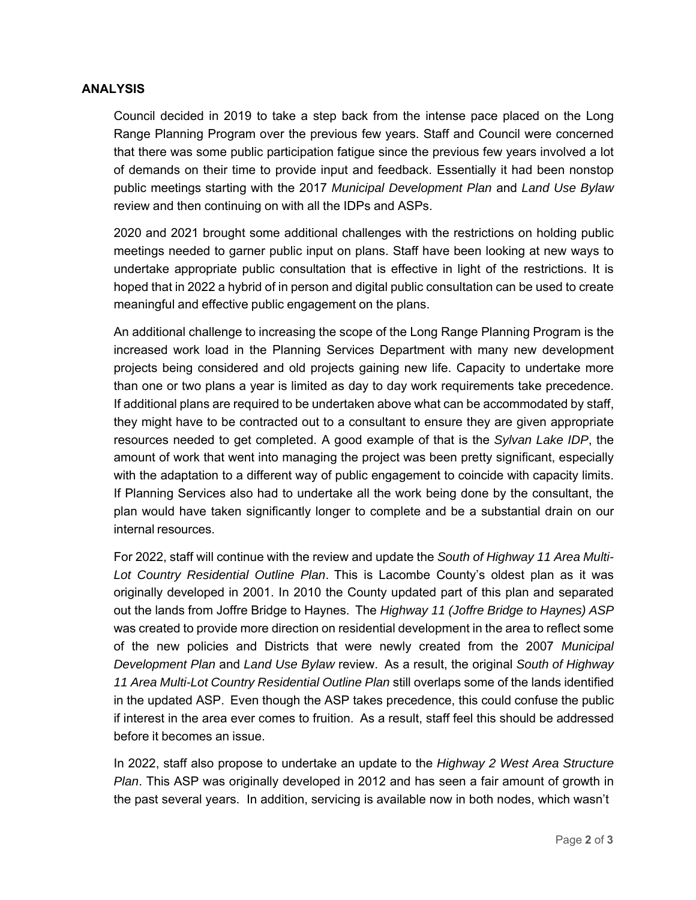#### **ANALYSIS**

Council decided in 2019 to take a step back from the intense pace placed on the Long Range Planning Program over the previous few years. Staff and Council were concerned that there was some public participation fatigue since the previous few years involved a lot of demands on their time to provide input and feedback. Essentially it had been nonstop public meetings starting with the 2017 *Municipal Development Plan* and *Land Use Bylaw* review and then continuing on with all the IDPs and ASPs.

2020 and 2021 brought some additional challenges with the restrictions on holding public meetings needed to garner public input on plans. Staff have been looking at new ways to undertake appropriate public consultation that is effective in light of the restrictions. It is hoped that in 2022 a hybrid of in person and digital public consultation can be used to create meaningful and effective public engagement on the plans.

An additional challenge to increasing the scope of the Long Range Planning Program is the increased work load in the Planning Services Department with many new development projects being considered and old projects gaining new life. Capacity to undertake more than one or two plans a year is limited as day to day work requirements take precedence. If additional plans are required to be undertaken above what can be accommodated by staff, they might have to be contracted out to a consultant to ensure they are given appropriate resources needed to get completed. A good example of that is the *Sylvan Lake IDP*, the amount of work that went into managing the project was been pretty significant, especially with the adaptation to a different way of public engagement to coincide with capacity limits. If Planning Services also had to undertake all the work being done by the consultant, the plan would have taken significantly longer to complete and be a substantial drain on our internal resources.

For 2022, staff will continue with the review and update the *South of Highway 11 Area Multi-Lot Country Residential Outline Plan*. This is Lacombe County's oldest plan as it was originally developed in 2001. In 2010 the County updated part of this plan and separated out the lands from Joffre Bridge to Haynes. The *Highway 11 (Joffre Bridge to Haynes) ASP* was created to provide more direction on residential development in the area to reflect some of the new policies and Districts that were newly created from the 2007 *Municipal Development Plan* and *Land Use Bylaw* review. As a result, the original *South of Highway 11 Area Multi-Lot Country Residential Outline Plan* still overlaps some of the lands identified in the updated ASP. Even though the ASP takes precedence, this could confuse the public if interest in the area ever comes to fruition. As a result, staff feel this should be addressed before it becomes an issue.

In 2022, staff also propose to undertake an update to the *Highway 2 West Area Structure Plan*. This ASP was originally developed in 2012 and has seen a fair amount of growth in the past several years. In addition, servicing is available now in both nodes, which wasn't